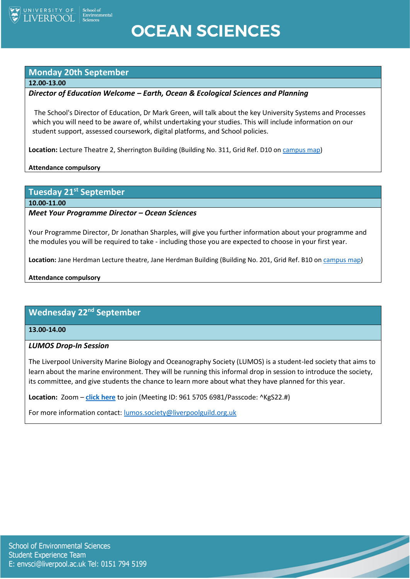

## **OCEAN SCIENCES**

## **Monday 20th September**

#### **12.00-13.00**

## *Director of Education Welcome – Earth, Ocean & Ecological Sciences and Planning*

The School's Director of Education, Dr Mark Green, will talk about the key University Systems and Processes which you will need to be aware of, whilst undertaking your studies. This will include information on our student support, assessed coursework, digital platforms, and School policies.

**Location:** Lecture Theatre 2, Sherrington Building (Building No. 311, Grid Ref. D10 o[n campus map\)](https://www.liverpool.ac.uk/media/livacuk/maps/Campus,Map,2020_0903.pdf)

**Attendance compulsory**

**Tuesday 21st September**

**10.00-11.00**

## *Meet Your Programme Director – Ocean Sciences*

Your Programme Director, Dr Jonathan Sharples, will give you further information about your programme and the modules you will be required to take - including those you are expected to choose in your first year.

**Location:** Jane Herdman Lecture theatre, Jane Herdman Building (Building No. 201, Grid Ref. B10 o[n campus map\)](https://www.liverpool.ac.uk/media/livacuk/maps/Campus,Map,2020_0903.pdf)

## **Attendance compulsory**

## **Wednesday 22nd September**

**13.00-14.00**

## *LUMOS Drop-In Session*

The Liverpool University Marine Biology and Oceanography Society (LUMOS) is a student-led society that aims to learn about the marine environment. They will be running this informal drop in session to introduce the society, its committee, and give students the chance to learn more about what they have planned for this year.

 $\overline{\phantom{a}}$ 

**Location:** Zoom – **[click here](https://liverpool-ac-uk.zoom.us/j/96157056981?pwd=R0c1Z1RvMUpiZmxObVFIWXRsK1RzZz09)** to join (Meeting ID: 961 5705 6981/Passcode: ^KgS22.#)

For more information contact: [lumos.society@liverpoolguild.org.uk](mailto:lumos.society@liverpoolguild.org.uk)